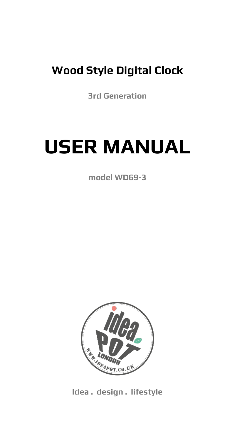### **Wood Style Digital Clock**

**3rd Generation**

# **USER MANUAL**

**model WD69-3**



**Idea . design . lifestyle**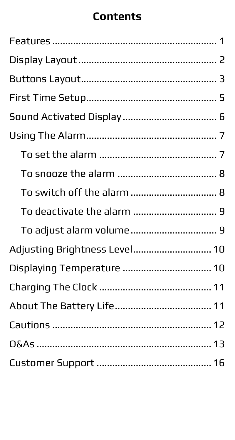### **Contents**

| To switch off the alarm  8    |
|-------------------------------|
|                               |
| To adjust alarm volume 9      |
| Adjusting Brightness Level 10 |
| Displaying Temperature  10    |
|                               |
|                               |
|                               |
|                               |
|                               |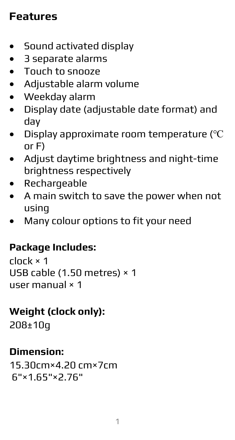### <span id="page-2-0"></span>**Features**

- Sound activated display
- 3 separate alarms
- Touch to snooze
- Adjustable alarm volume
- Weekday alarm
- Display date (adjustable date format) and day
- Display approximate room temperature (℃ or F)
- Adjust daytime brightness and night-time brightness respectively
- Rechargeable
- A main switch to save the power when not using
- Many colour options to fit your need

### **Package Includes:**

clock × 1 USB cable (1.50 metres) × 1 user manual × 1

### **Weight (clock only):**

208±10g

### **Dimension:**

15.30cm×4.20 cm×7cm 6"×1.65"×2.76"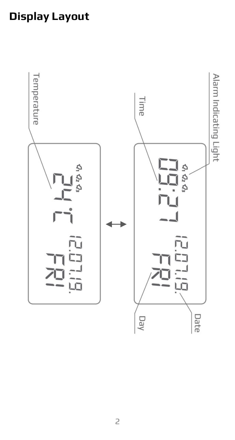# <span id="page-3-0"></span>**Display Layout**

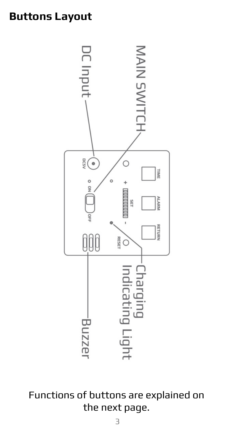### <span id="page-4-0"></span>**Buttons Layout**



Functions of buttons are explained on the next page.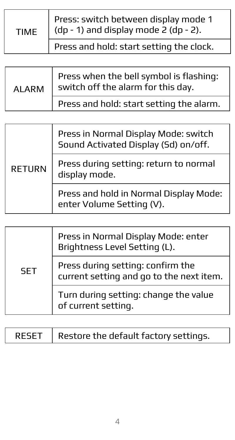| <b>TIMF</b> | Press: switch between display mode 1<br>  (dp - 1) and display mode 2 (dp - 2). |
|-------------|---------------------------------------------------------------------------------|
|             | Press and hold: start setting the clock.                                        |

| AI ARM | Press when the bell symbol is flashing:<br>switch off the alarm for this day. |
|--------|-------------------------------------------------------------------------------|
|        | Press and hold: start setting the alarm.                                      |

| <b>RETURN</b> | Press in Normal Display Mode: switch<br>Sound Activated Display (Sd) on/off. |
|---------------|------------------------------------------------------------------------------|
|               | Press during setting: return to normal<br>display mode.                      |
|               | Press and hold in Normal Display Mode:<br>enter Volume Setting (V).          |

| <b>SET</b> | Press in Normal Display Mode: enter<br>Brightness Level Setting (L).          |
|------------|-------------------------------------------------------------------------------|
|            | Press during setting: confirm the<br>current setting and go to the next item. |
|            | Turn during setting: change the value<br>of current setting.                  |

| RESET   Restore the default factory settings. |  |
|-----------------------------------------------|--|
|-----------------------------------------------|--|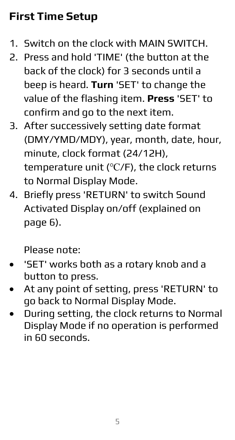# <span id="page-6-0"></span>**First Time Setup**

- 1. Switch on the clock with MAIN SWITCH.
- 2. Press and hold 'TIME' (the button at the back of the clock) for 3 seconds until a beep is heard. **Turn** 'SET' to change the value of the flashing item. **Press** 'SET' to confirm and go to the next item.
- 3. After successively setting date format (DMY/YMD/MDY), year, month, date, hour, minute, clock format (24/12H), temperature unit (℃/F), the clock returns to Normal Display Mode.
- 4. Briefly press 'RETURN' to switch Sound Activated Display on/off (explained on page 6).

Please note:

- 'SET' works both as a rotary knob and a button to press.
- At any point of setting, press 'RETURN' to go back to Normal Display Mode.
- During setting, the clock returns to Normal Display Mode if no operation is performed in 60 seconds.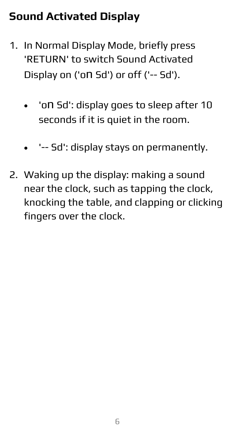# <span id="page-7-0"></span>**Sound Activated Display**

- 1. In Normal Display Mode, briefly press 'RETURN' to switch Sound Activated Display on ('on Sd') or off ('-- Sd').
	- 'on Sd': display goes to sleep after 10 seconds if it is quiet in the room.
	- '-- Sd': display stays on permanently.
- 2. Waking up the display: making a sound near the clock, such as tapping the clock, knocking the table, and clapping or clicking fingers over the clock.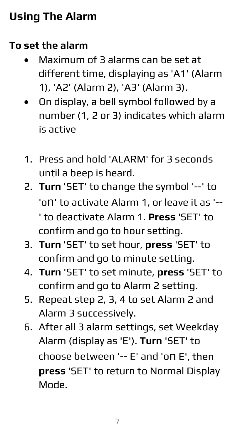# <span id="page-8-0"></span>**Using The Alarm**

### <span id="page-8-1"></span>**To set the alarm**

- Maximum of 3 alarms can be set at different time, displaying as 'A1' (Alarm 1), 'A2' (Alarm 2), 'A3' (Alarm 3).
- On display, a bell symbol followed by a number (1, 2 or 3) indicates which alarm is active
- 1. Press and hold 'ALARM' for 3 seconds until a beep is heard.
- 2. **Turn** 'SET' to change the symbol '--' to 'on' to activate Alarm 1, or leave it as '-- ' to deactivate Alarm 1. **Press** 'SET' to confirm and go to hour setting.
- 3. **Turn** 'SET' to set hour, **press** 'SET' to confirm and go to minute setting.
- 4. **Turn** 'SET' to set minute, **press** 'SET' to confirm and go to Alarm 2 setting.
- 5. Repeat step 2, 3, 4 to set Alarm 2 and Alarm 3 successively.
- 6. After all 3 alarm settings, set Weekday Alarm (display as 'E'). **Turn** 'SET' to choose between '-- E' and 'on E', then **press** 'SET' to return to Normal Display Mode.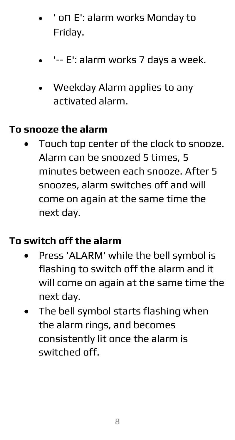- ' on E': alarm works Monday to Friday.
- '-- E': alarm works 7 days a week.
- Weekday Alarm applies to any activated alarm.

#### <span id="page-9-0"></span>**To snooze the alarm**

• Touch top center of the clock to snooze. Alarm can be snoozed 5 times, 5 minutes between each snooze. After 5 snoozes, alarm switches off and will come on again at the same time the next day.

#### <span id="page-9-1"></span>**To switch off the alarm**

- Press 'ALARM' while the bell symbol is flashing to switch off the alarm and it will come on again at the same time the next day.
- The bell symbol starts flashing when the alarm rings, and becomes consistently lit once the alarm is switched off.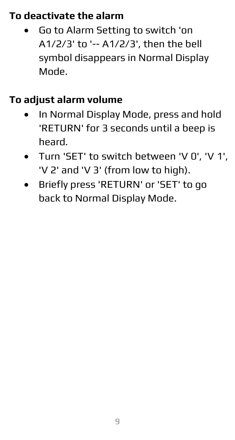### <span id="page-10-0"></span>**To deactivate the alarm**

• Go to Alarm Setting to switch 'on A1/2/3' to '-- A1/2/3', then the bell symbol disappears in Normal Display Mode.

### <span id="page-10-1"></span>**To adjust alarm volume**

- In Normal Display Mode, press and hold 'RETURN' for 3 seconds until a beep is heard.
- Turn 'SET' to switch between 'V 0', 'V 1', 'V 2' and 'V 3' (from low to high).
- Briefly press 'RETURN' or 'SET' to go back to Normal Display Mode.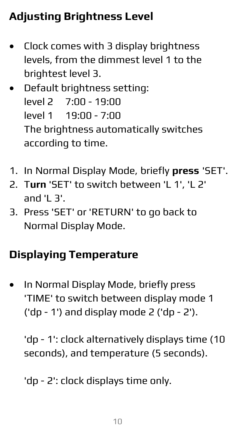# <span id="page-11-0"></span>**Adjusting Brightness Level**

- Clock comes with 3 display brightness levels, from the dimmest level 1 to the brightest level 3.
- Default brightness setting: level 2 7:00 - 19:00 level 1 19:00 - 7:00 The brightness automatically switches according to time.
- 1. In Normal Display Mode, briefly **press** 'SET'.
- 2. T**urn** 'SET' to switch between 'L 1', 'L 2'  $A<sub>1</sub>$  and 'L 3'.
- 3. Press 'SET' or 'RETURN' to go back to Normal Display Mode.

# <span id="page-11-1"></span>**Displaying Temperature**

• In Normal Display Mode, briefly press 'TIME' to switch between display mode 1 ('dp - 1') and display mode 2 ('dp - 2').

'dp - 1': clock alternatively displays time (10 seconds), and temperature (5 seconds).

'dp - 2': clock displays time only.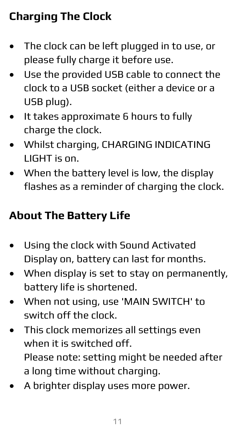# <span id="page-12-0"></span>**Charging The Clock**

- The clock can be left plugged in to use, or please fully charge it before use.
- Use the provided USB cable to connect the clock to a USB socket (either a device or a USB plug).
- It takes approximate 6 hours to fully charge the clock.
- Whilst charging, CHARGING INDICATING LIGHT is on.
- When the battery level is low, the display flashes as a reminder of charging the clock.

# <span id="page-12-1"></span>**About The Battery Life**

- Using the clock with Sound Activated Display on, battery can last for months.
- When display is set to stay on permanently, battery life is shortened.
- When not using, use 'MAIN SWITCH' to switch off the clock.
- This clock memorizes all settings even when it is switched off. Please note: setting might be needed after a long time without charging.
- A brighter display uses more power.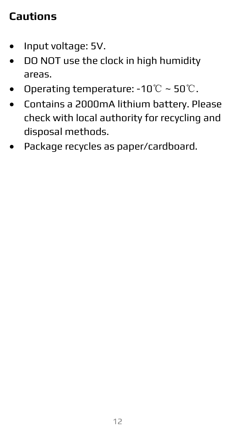### <span id="page-13-0"></span>**Cautions**

- Input voltage: 5V.
- DO NOT use the clock in high humidity areas.
- Operating temperature: -10℃ ~ 50℃.
- Contains a 2000mA lithium battery. Please check with local authority for recycling and disposal methods.
- Package recycles as paper/cardboard.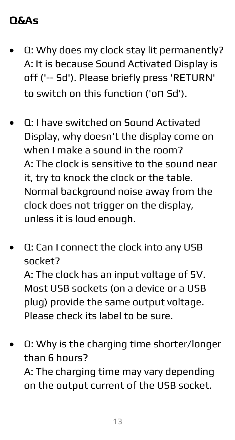### <span id="page-14-0"></span>**Q&As**

- Q: Why does my clock stay lit permanently? A: It is because Sound Activated Display is off ('-- Sd'). Please briefly press 'RETURN' to switch on this function ('on Sd').
- Q: I have switched on Sound Activated Display, why doesn't the display come on when I make a sound in the room? A: The clock is sensitive to the sound near it, try to knock the clock or the table. Normal background noise away from the clock does not trigger on the display, unless it is loud enough.
- Q: Can I connect the clock into any USB socket?

A: The clock has an input voltage of 5V. Most USB sockets (on a device or a USB plug) provide the same output voltage. Please check its label to be sure.

• Q: Why is the charging time shorter/longer than 6 hours? A: The charging time may vary depending on the output current of the USB socket.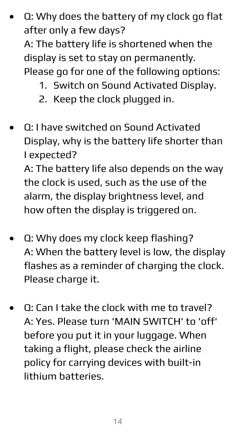• Q: Why does the battery of my clock go flat after only a few days? A: The battery life is shortened when the

display is set to stay on permanently.

Please go for one of the following options:

- 1. Switch on Sound Activated Display.
- 2. Keep the clock plugged in.
- Q: I have switched on Sound Activated Display, why is the battery life shorter than I expected? A: The battery life also depends on the way

the clock is used, such as the use of the alarm, the display brightness level, and how often the display is triggered on.

- Q: Why does my clock keep flashing? A: When the battery level is low, the display flashes as a reminder of charging the clock. Please charge it.
- Q: Can I take the clock with me to travel? A: Yes. Please turn 'MAIN SWITCH' to 'off' before you put it in your luggage. When taking a flight, please check the airline policy for carrying devices with built-in lithium batteries.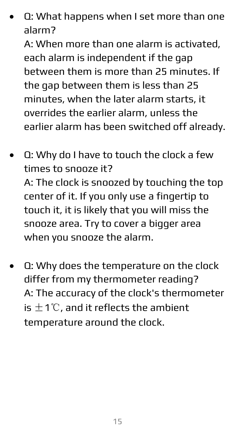• Q: What happens when I set more than one alarm?

A: When more than one alarm is activated, each alarm is independent if the gap between them is more than 25 minutes. If the gap between them is less than 25 minutes, when the later alarm starts, it overrides the earlier alarm, unless the earlier alarm has been switched off already.

- Q: Why do I have to touch the clock a few times to snooze it? A: The clock is snoozed by touching the top center of it. If you only use a fingertip to touch it, it is likely that you will miss the snooze area. Try to cover a bigger area when you snooze the alarm.
- Q: Why does the temperature on the clock differ from my thermometer reading? A: The accuracy of the clock's thermometer is  $±1°C$ , and it reflects the ambient temperature around the clock.